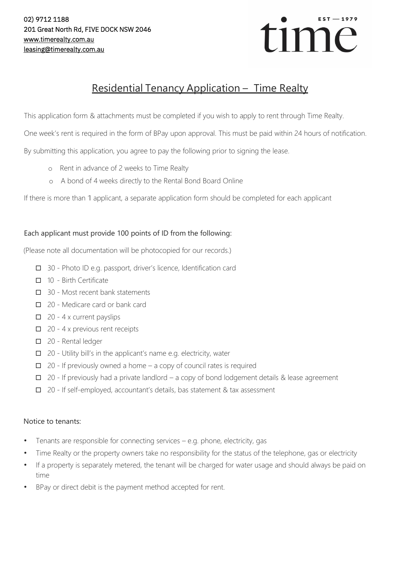

# Residential Tenancy Application – Time Realty

This application form & attachments must be completed if you wish to apply to rent through Time Realty.

One week's rent is required in the form of BPay upon approval. This must be paid within 24 hours of notification.

By submitting this application, you agree to pay the following prior to signing the lease.

- o Rent in advance of 2 weeks to Time Realty
- o A bond of 4 weeks directly to the Rental Bond Board Online

If there is more than 1 applicant, <sup>a</sup> separate application form should be completed for each applicant

## Each applicant must provide 100 points of ID from the following:

(Please note all documentation will be photocopied for our records.)

- □ 30 Photo ID e.g. passport, driver's licence, Identification card
- $\Box$  10 Birth Certificate
- $\Box$  30 Most recent bank statements
- □ 20 Medicare card or bank card
- $\Box$  20 4 x current payslips
- $\Box$  20 4 x previous rent receipts
- □ 20 Rental ledger
- $\Box$  20 Utility bill's in the applicant's name e.g. electricity, water
- $\Box$  20 If previously owned a home a copy of council rates is required
- $\Box$  20 If previously had a private landlord a copy of bond lodgement details & lease agreement
- $\Box$  20 If self-employed, accountant's details, bas statement & tax assessment

### Notice to tenants:

- Tenants are responsible for connecting services  $-$  e.g. phone, electricity, gas
- Time Realty or the property owners take no responsibility for the status of the telephone, gas or electricity
- If a property is separately metered, the tenant will be charged for water usage and should always be paid on time
- BPay or direct debit is the payment method accepted for rent.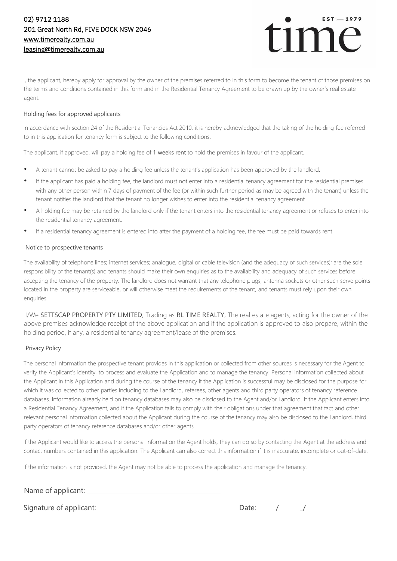

I, the applicant, hereby apply for approval by the owner of the premises referred to in this form to become the tenant of those premises on the terms and conditions contained in this form and in the Residential Tenancy Agreement to be drawn up by the owner's real estate agent.

#### Holding fees for approved applicants

In accordance with section 24 of the Residential Tenancies Act 2010, it is hereby acknowledged that the taking of the holding fee referred to in this application for tenancy form is subject to the following conditions:

The applicant, if approved, will pay a holding fee of 1 weeks rent to hold the premises in favour of the applicant.

- A tenant cannot be asked to pay a holding fee unless the tenant's application has been approved by the landlord.
- If the applicant has paid a holding fee, the landlord must not enter into a residential tenancy agreement for the residential premises with any other person within 7 days of payment of the fee (or within such further period as may be agreed with the tenant) unless the tenant notifies the landlord that the tenant no longer wishes to enter into the residential tenancy agreement.
- A holding fee may be retained by the landlord only if the tenant enters into the residential tenancy agreement or refuses to enter into the residential tenancy agreement.
- If a residential tenancy agreement is entered into after the payment of a holding fee, the fee must be paid towards rent.

#### Notice to prospective tenants

The availability of telephone lines; internet services; analogue, digital or cable television (and the adequacy of such services); are the sole responsibility of the tenant(s) and tenants should make their own enquiries as to the availability and adequacy of such services before accepting the tenancy of the property. The landlord does not warrant that any telephone plugs, antenna sockets or other such serve points located in the property are serviceable, or will otherwise meet the requirements of the tenant, and tenants must rely upon their own enquiries.

I/We SETTSCAP PROPERTY PTY LIMITED, Trading as RL TIME REALTY, The real estate agents, acting for the owner of the above premises acknowledge receipt of the above application and if the application is approved to also prepare, within the holding period, if any, a residential tenancy agreement/lease of the premises.

#### Privacy Policy

The personal information the prospective tenant provides in this application or collected from other sources is necessary for the Agent to verify the Applicant's identity, to process and evaluate the Application and to manage the tenancy. Personal information collected about the Applicant in this Application and during the course of the tenancy if the Application is successful may be disclosed for the purpose for which it was collected to other parties including to the Landlord, referees, other agents and third party operators of tenancy reference databases. Information already held on tenancy databases may also be disclosed to the Agent and/or Landlord. If the Applicant enters into a Residential Tenancy Agreement, and if the Application fails to comply with their obligations under that agreement that fact and other relevant personal information collected about the Applicant during the course of the tenancy may also be disclosed to the Landlord, third party operators of tenancy reference databases and/or other agents.

If the Applicant would like to access the personal information the Agent holds, they can do so by contacting the Agent at the address and contact numbers contained in this application. The Applicant can also correct this information if it is inaccurate, incomplete or out-of-date.

If the information is not provided, the Agent may not be able to process the application and manage the tenancy.

Name of applicant:

Signature of applicant: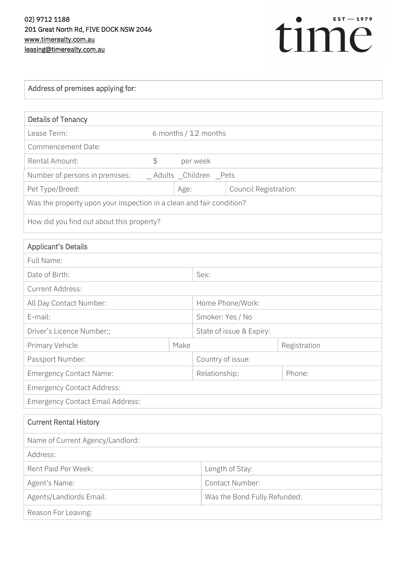

| Address of premises applying for:                                    |                      |                         |                              |              |
|----------------------------------------------------------------------|----------------------|-------------------------|------------------------------|--------------|
|                                                                      |                      |                         |                              |              |
| <b>Details of Tenancy</b>                                            |                      |                         |                              |              |
| Lease Term:                                                          | 6 months / 12 months |                         |                              |              |
| <b>Commencement Date:</b>                                            |                      |                         |                              |              |
| <b>Rental Amount:</b>                                                | $\frac{1}{2}$        | per week                |                              |              |
| Number of persons in premises:                                       |                      | _Adults _Children _Pets |                              |              |
| Pet Type/Breed:                                                      |                      | Age:                    | Council Registration:        |              |
| Was the property upon your inspection in a clean and fair condition? |                      |                         |                              |              |
| How did you find out about this property?                            |                      |                         |                              |              |
| <b>Applicant's Details</b>                                           |                      |                         |                              |              |
| Full Name:                                                           |                      |                         |                              |              |
| Date of Birth:                                                       |                      | Sex:                    |                              |              |
| <b>Current Address:</b>                                              |                      |                         |                              |              |
| All Day Contact Number:                                              |                      |                         | Home Phone/Work:             |              |
| E-mail:                                                              |                      |                         | Smoker: Yes / No             |              |
| Driver's Licence Number:;                                            |                      |                         | State of issue & Expiry:     |              |
| Primary Vehicle                                                      |                      | Make                    |                              | Registration |
| Passport Number:                                                     |                      |                         | Country of issue:            |              |
| <b>Emergency Contact Name:</b>                                       |                      | Relationship:           |                              | Phone:       |
| <b>Emergency Contact Address:</b>                                    |                      |                         |                              |              |
| <b>Emergency Contact Email Address:</b>                              |                      |                         |                              |              |
| <b>Current Rental History</b>                                        |                      |                         |                              |              |
| Name of Current Agency/Landlord:                                     |                      |                         |                              |              |
| Address:                                                             |                      |                         |                              |              |
| Rent Paid Per Week:                                                  |                      |                         | Length of Stay:              |              |
| Agent's Name:                                                        |                      |                         | Contact Number:              |              |
| Agents/Landlords Email:                                              |                      |                         | Was the Bond Fully Refunded: |              |
| Reason For Leaving:                                                  |                      |                         |                              |              |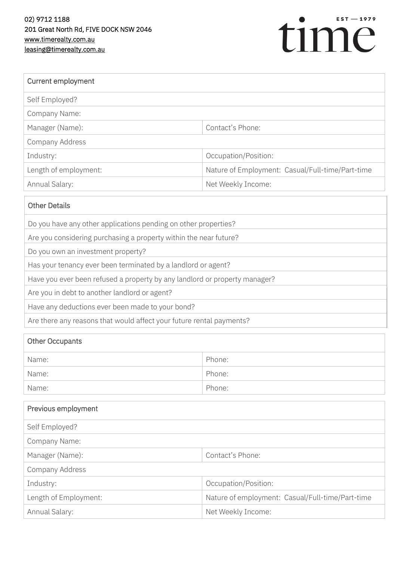

| Current employment                                                         |                                                  |  |  |
|----------------------------------------------------------------------------|--------------------------------------------------|--|--|
| Self Employed?                                                             |                                                  |  |  |
| Company Name:                                                              |                                                  |  |  |
| Manager (Name):                                                            | Contact's Phone:                                 |  |  |
| Company Address                                                            |                                                  |  |  |
| Industry:                                                                  | Occupation/Position:                             |  |  |
| Length of employment:                                                      | Nature of Employment: Casual/Full-time/Part-time |  |  |
| Annual Salary:                                                             | Net Weekly Income:                               |  |  |
| <b>Other Details</b>                                                       |                                                  |  |  |
| Do you have any other applications pending on other properties?            |                                                  |  |  |
| Are you considering purchasing a property within the near future?          |                                                  |  |  |
| Do you own an investment property?                                         |                                                  |  |  |
| Has your tenancy ever been terminated by a landlord or agent?              |                                                  |  |  |
| Have you ever been refused a property by any landlord or property manager? |                                                  |  |  |

Are you in debt to another landlord or agent?

Have any deductions ever been made to your bond?

Are there any reasons that would affect your future rental payments?

| Other Occupants |        |  |
|-----------------|--------|--|
| Name:           | Phone: |  |
| Name:           | Phone: |  |
| Name:           | Phone: |  |

| Previous employment   |                                                  |
|-----------------------|--------------------------------------------------|
| Self Employed?        |                                                  |
| Company Name:         |                                                  |
| Manager (Name):       | Contact's Phone:                                 |
| Company Address       |                                                  |
| Industry:             | Occupation/Position:                             |
| Length of Employment: | Nature of employment: Casual/Full-time/Part-time |
| Annual Salary:        | Net Weekly Income:                               |